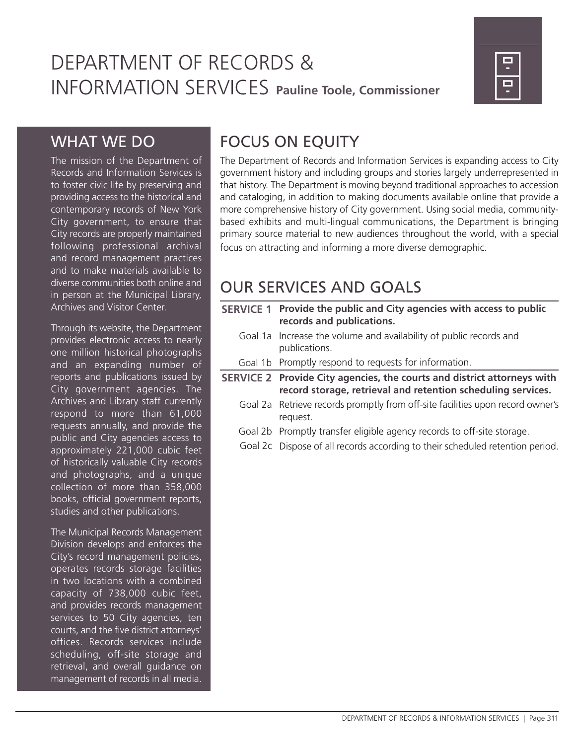# DEPARTMENT OF RECORDS & INFORMATION SERVICES **Pauline Toole, Commissioner**



## WHAT WE DO

The mission of the Department of Records and Information Services is to foster civic life by preserving and providing access to the historical and contemporary records of New York City government, to ensure that City records are properly maintained following professional archival and record management practices and to make materials available to diverse communities both online and in person at the Municipal Library, Archives and Visitor Center.

Through its website, the Department provides electronic access to nearly one million historical photographs and an expanding number of reports and publications issued by City government agencies. The Archives and Library staff currently respond to more than 61,000 requests annually, and provide the public and City agencies access to approximately 221,000 cubic feet of historically valuable City records and photographs, and a unique collection of more than 358,000 books, official government reports, studies and other publications.

The Municipal Records Management Division develops and enforces the City's record management policies, operates records storage facilities in two locations with a combined capacity of 738,000 cubic feet, and provides records management services to 50 City agencies, ten courts, and the five district attorneys' offices. Records services include scheduling, off-site storage and retrieval, and overall guidance on management of records in all media.

## FOCUS ON EQUITY

The Department of Records and Information Services is expanding access to City government history and including groups and stories largely underrepresented in that history. The Department is moving beyond traditional approaches to accession and cataloging, in addition to making documents available online that provide a more comprehensive history of City government. Using social media, communitybased exhibits and multi-lingual communications, the Department is bringing primary source material to new audiences throughout the world, with a special focus on attracting and informing a more diverse demographic.

## OUR SERVICES AND GOALS

- **SERVICE 1 Provide the public and City agencies with access to public records and publications.**
	- Goal 1a Increase the volume and availability of public records and publications.
	- Goal 1b Promptly respond to requests for information.
- **SERVICE 2 Provide City agencies, the courts and district attorneys with record storage, retrieval and retention scheduling services.**
	- Goal 2a Retrieve records promptly from off-site facilities upon record owner's request.
	- Goal 2b Promptly transfer eligible agency records to off-site storage.
	- Goal 2c Dispose of all records according to their scheduled retention period.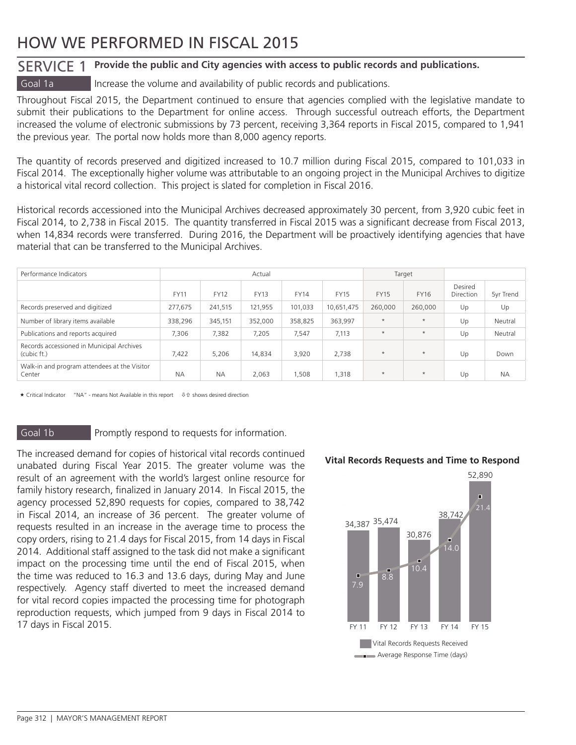## HOW WE PERFORMED IN FISCAL 2015

### SERVICE 1 **Provide the public and City agencies with access to public records and publications.**

Goal 1a **Increase the volume and availability of public records and publications.** 

Throughout Fiscal 2015, the Department continued to ensure that agencies complied with the legislative mandate to submit their publications to the Department for online access. Through successful outreach efforts, the Department increased the volume of electronic submissions by 73 percent, receiving 3,364 reports in Fiscal 2015, compared to 1,941 the previous year. The portal now holds more than 8,000 agency reports.

The quantity of records preserved and digitized increased to 10.7 million during Fiscal 2015, compared to 101,033 in Fiscal 2014. The exceptionally higher volume was attributable to an ongoing project in the Municipal Archives to digitize a historical vital record collection. This project is slated for completion in Fiscal 2016.

Historical records accessioned into the Municipal Archives decreased approximately 30 percent, from 3,920 cubic feet in Fiscal 2014, to 2,738 in Fiscal 2015. The quantity transferred in Fiscal 2015 was a significant decrease from Fiscal 2013, when 14,834 records were transferred. During 2016, the Department will be proactively identifying agencies that have material that can be transferred to the Municipal Archives.

| Performance Indicators                                   |             |             | Actual      |             |             | Target      |             |                             |           |
|----------------------------------------------------------|-------------|-------------|-------------|-------------|-------------|-------------|-------------|-----------------------------|-----------|
|                                                          | <b>FY11</b> | <b>FY12</b> | <b>FY13</b> | <b>FY14</b> | <b>FY15</b> | <b>FY15</b> | <b>FY16</b> | Desired<br><b>Direction</b> | 5yr Trend |
| Records preserved and digitized                          | 277,675     | 241,515     | 121,955     | 101,033     | 10,651,475  | 260,000     | 260,000     | Up                          | Up        |
| Number of library items available                        | 338,296     | 345,151     | 352,000     | 358,825     | 363,997     | $\star$     | $\star$     | Up                          | Neutral   |
| Publications and reports acquired                        | 7,306       | 7,382       | 7,205       | 7,547       | 7,113       | $\star$     | $\star$     | Up                          | Neutral   |
| Records accessioned in Municipal Archives<br>(cubic ft.) | 7,422       | 5.206       | 14,834      | 3,920       | 2.738       | $\star$     | $\star$     | Up                          | Down      |
| Walk-in and program attendees at the Visitor<br>Center   | <b>NA</b>   | <b>NA</b>   | 2,063       | ,508        | 1,318       | $\star$     | $\star$     | Up                          | <b>NA</b> |

 $\star$  Critical Indicator "NA" - means Not Available in this report  $\Downarrow$   $\Upsilon$  shows desired direction

Goal 1b Promptly respond to requests for information.

The increased demand for copies of historical vital records continued unabated during Fiscal Year 2015. The greater volume was the result of an agreement with the world's largest online resource for family history research, finalized in January 2014. In Fiscal 2015, the agency processed 52,890 requests for copies, compared to 38,742 in Fiscal 2014, an increase of 36 percent. The greater volume of requests resulted in an increase in the average time to process the copy orders, rising to 21.4 days for Fiscal 2015, from 14 days in Fiscal 2014. Additional staff assigned to the task did not make a significant impact on the processing time until the end of Fiscal 2015, when the time was reduced to 16.3 and 13.6 days, during May and June respectively. Agency staff diverted to meet the increased demand for vital record copies impacted the processing time for photograph reproduction requests, which jumped from 9 days in Fiscal 2014 to 17 days in Fiscal 2015.



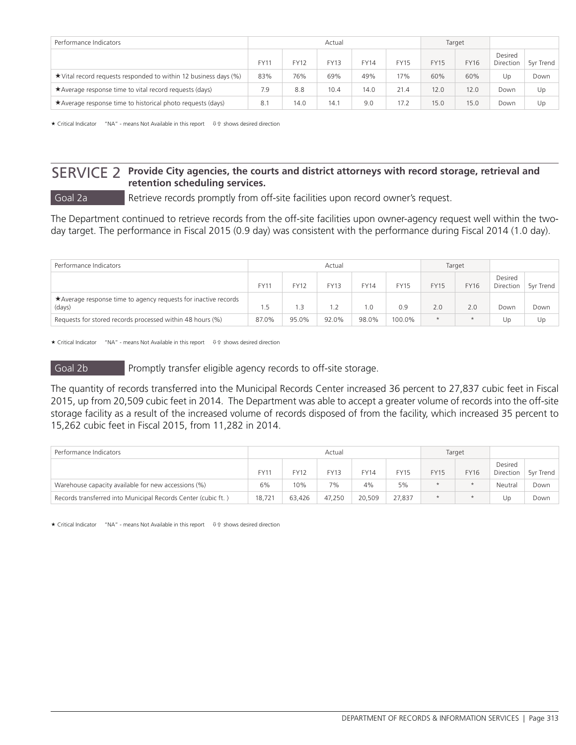| Performance Indicators                                                 |             |             | Actual |             |             | Target      |             |                      |           |
|------------------------------------------------------------------------|-------------|-------------|--------|-------------|-------------|-------------|-------------|----------------------|-----------|
|                                                                        | <b>FY11</b> | <b>FY12</b> | FY13   | <b>FY14</b> | <b>FY15</b> | <b>FY15</b> | <b>FY16</b> | Desired<br>Direction | 5vr Trend |
| $\star$ Vital record requests responded to within 12 business days (%) | 83%         | 76%         | 69%    | 49%         | 17%         | 60%         | 60%         | Up                   | Down      |
| *Average response time to vital record requests (days)                 | 7.9         | 8.8         | 10.4   | 14.0        | 21.4        | 12.0        | 12.0        | Down                 | Up        |
| *Average response time to historical photo requests (days)             | 8.1         | 14.0        | 14.1   | 9.0         | 17.2        | 15.0        | 15.0        | Down                 | Up        |

 $\star$  Critical Indicator "NA" - means Not Available in this report  $\quad \oplus \, \hat{v}$  shows desired direction

### SERVICE 2 **Provide City agencies, the courts and district attorneys with record storage, retrieval and retention scheduling services.**

Goal 2a Retrieve records promptly from off-site facilities upon record owner's request.

The Department continued to retrieve records from the off-site facilities upon owner-agency request well within the twoday target. The performance in Fiscal 2015 (0.9 day) was consistent with the performance during Fiscal 2014 (1.0 day).

| Performance Indicators                                                    |             |       | Actual |             |             | Target      |             |                      |           |
|---------------------------------------------------------------------------|-------------|-------|--------|-------------|-------------|-------------|-------------|----------------------|-----------|
|                                                                           | <b>FY11</b> | FY12  | FY13   | <b>FY14</b> | <b>FY15</b> | <b>FY15</b> | <b>FY16</b> | Desired<br>Direction | 5vr Trend |
| ★ Average response time to agency requests for inactive records<br>(days) | l.5         |       |        |             | 0.9         | 2.0         | 2.0         | Down                 | Down      |
| Requests for stored records processed within 48 hours (%)                 | 87.0%       | 95.0% | 92.0%  | 98.0%       | 100.0%      | $\star$     | $\star$     | Up                   | Up        |

 $\star$  Critical Indicator "NA" - means Not Available in this report  $\theta$  of shows desired direction

Goal 2b Promptly transfer eligible agency records to off-site storage.

The quantity of records transferred into the Municipal Records Center increased 36 percent to 27,837 cubic feet in Fiscal 2015, up from 20,509 cubic feet in 2014. The Department was able to accept a greater volume of records into the off-site storage facility as a result of the increased volume of records disposed of from the facility, which increased 35 percent to 15,262 cubic feet in Fiscal 2015, from 11,282 in 2014.

| Performance Indicators                                        |        |        | Actual |             |             | Target      |             |                             |           |
|---------------------------------------------------------------|--------|--------|--------|-------------|-------------|-------------|-------------|-----------------------------|-----------|
|                                                               | FY11   | FY12   | FY13   | <b>FY14</b> | <b>FY15</b> | <b>FY15</b> | <b>FY16</b> | Desired<br><b>Direction</b> | 5vr Trend |
| Warehouse capacity available for new accessions (%)           | 6%     | 10%    | 7%     | 4%          | 5%          | $\star$     |             | Neutral                     | Down      |
| Records transferred into Municipal Records Center (cubic ft.) | 18,721 | 63,426 | 47.250 | 20,509      | 27,837      |             |             | Up                          | Down      |

 $\star$  Critical Indicator "NA" - means Not Available in this report  $\theta$  of shows desired direction